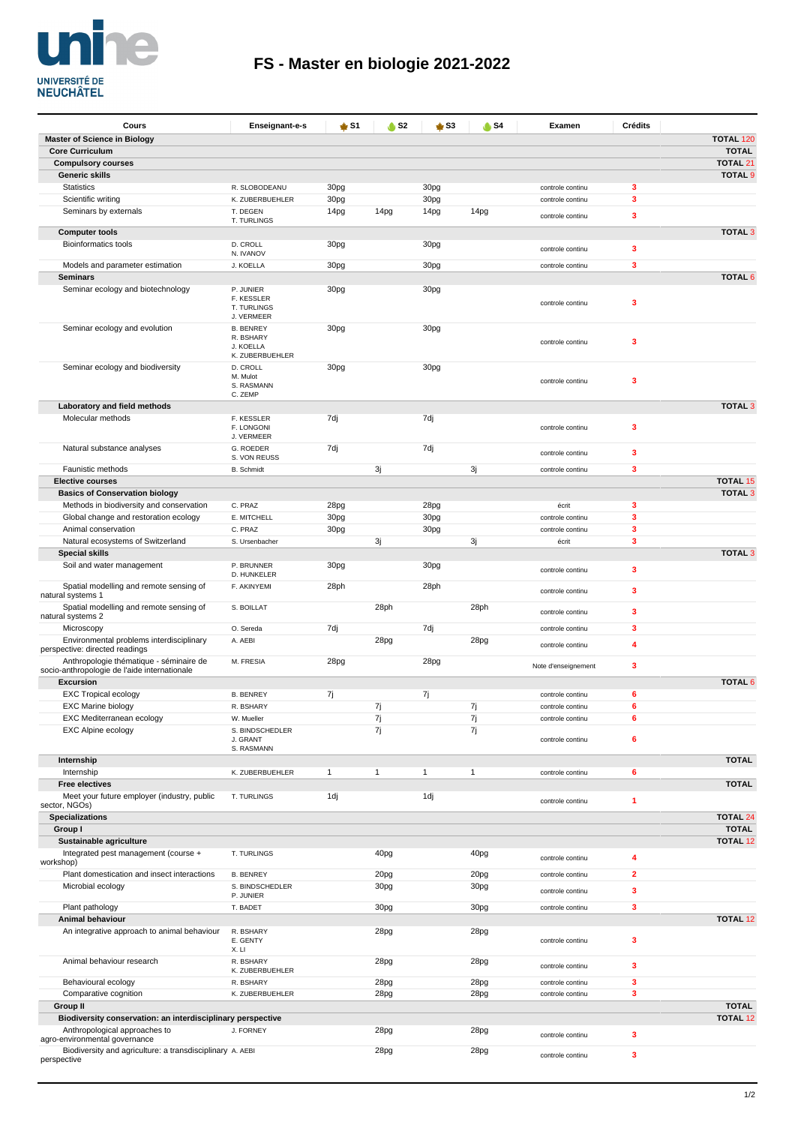

| Cours                                                                                   | Enseignant-e-s                      | <b>≜</b> S1  | $\bullet$ S <sub>2</sub> | $\frac{1}{2}$ S3 | <b>A</b> S4  | Examen                               | <b>Crédits</b> |                  |
|-----------------------------------------------------------------------------------------|-------------------------------------|--------------|--------------------------|------------------|--------------|--------------------------------------|----------------|------------------|
| <b>Master of Science in Biology</b>                                                     |                                     |              |                          |                  |              |                                      |                | <b>TOTAL 120</b> |
| <b>Core Curriculum</b>                                                                  |                                     |              |                          |                  |              |                                      |                | <b>TOTAL</b>     |
| <b>Compulsory courses</b>                                                               |                                     |              |                          |                  |              |                                      |                | <b>TOTAL 21</b>  |
| Generic skills                                                                          |                                     |              |                          |                  |              |                                      |                | <b>TOTAL 9</b>   |
| <b>Statistics</b><br>Scientific writing                                                 | R. SLOBODEANU<br>K. ZUBERBUEHLER    | 30pg<br>30pg |                          | 30pg<br>30pg     |              | controle continu<br>controle continu | 3<br>3         |                  |
| Seminars by externals                                                                   | T. DEGEN                            | 14pg         | 14pg                     | 14pg             | 14pg         |                                      |                |                  |
|                                                                                         | T. TURLINGS                         |              |                          |                  |              | controle continu                     | 3              |                  |
| <b>Computer tools</b>                                                                   |                                     |              |                          |                  |              |                                      |                | <b>TOTAL 3</b>   |
| <b>Bioinformatics tools</b>                                                             | D. CROLL<br>N. IVANOV               | 30pg         |                          | 30pg             |              | controle continu                     | 3              |                  |
| Models and parameter estimation                                                         | J. KOELLA                           | 30pg         |                          | 30pg             |              | controle continu                     | 3              |                  |
| <b>Seminars</b>                                                                         |                                     |              |                          |                  |              |                                      |                | <b>TOTAL 6</b>   |
| Seminar ecology and biotechnology                                                       | P. JUNIER                           | 30pg         |                          | 30pg             |              |                                      |                |                  |
|                                                                                         | F. KESSLER<br>T. TURLINGS           |              |                          |                  |              | controle continu                     | 3              |                  |
|                                                                                         | J. VERMEER                          |              |                          |                  |              |                                      |                |                  |
| Seminar ecology and evolution                                                           | <b>B. BENREY</b>                    | 30pg         |                          | 30pg             |              |                                      |                |                  |
|                                                                                         | R. BSHARY<br>J. KOELLA              |              |                          |                  |              | controle continu                     | 3              |                  |
|                                                                                         | K. ZUBERBUEHLER                     |              |                          |                  |              |                                      |                |                  |
| Seminar ecology and biodiversity                                                        | D. CROLL                            | 30pg         |                          | 30pg             |              |                                      |                |                  |
|                                                                                         | M. Mulot<br>S. RASMANN              |              |                          |                  |              | controle continu                     | 3              |                  |
|                                                                                         | C. ZEMP                             |              |                          |                  |              |                                      |                |                  |
| Laboratory and field methods                                                            |                                     |              |                          |                  |              |                                      |                | <b>TOTAL 3</b>   |
| Molecular methods                                                                       | F. KESSLER<br>F. LONGONI            | 7dj          |                          | 7dj              |              | controle continu                     | 3              |                  |
|                                                                                         | J. VERMEER                          |              |                          |                  |              |                                      |                |                  |
| Natural substance analyses                                                              | G. ROEDER                           | 7dj          |                          | 7dj              |              | controle continu                     | 3              |                  |
|                                                                                         | S. VON REUSS<br><b>B.</b> Schmidt   |              |                          |                  |              |                                      | 3              |                  |
| Faunistic methods<br><b>Elective courses</b>                                            |                                     |              | 3j                       |                  | 3j           | controle continu                     |                | <b>TOTAL 15</b>  |
| <b>Basics of Conservation biology</b>                                                   |                                     |              |                          |                  |              |                                      |                | <b>TOTAL 3</b>   |
| Methods in biodiversity and conservation                                                | C. PRAZ                             | 28pg         |                          | 28pg             |              | écrit                                | 3              |                  |
| Global change and restoration ecology                                                   | E. MITCHELL                         | 30pg         |                          | 30pg             |              | controle continu                     | 3              |                  |
| Animal conservation                                                                     | C. PRAZ                             | 30pg         |                          | 30pg             |              | controle continu                     | 3              |                  |
| Natural ecosystems of Switzerland                                                       | S. Ursenbacher                      |              | 3j                       |                  | 3j           | écrit                                | 3              |                  |
| <b>Special skills</b>                                                                   |                                     |              |                          |                  |              |                                      |                | <b>TOTAL 3</b>   |
| Soil and water management                                                               | P. BRUNNER<br>D. HUNKELER           | 30pg         |                          | 30pg             |              | controle continu                     | 3              |                  |
| Spatial modelling and remote sensing of                                                 | F. AKINYEMI                         | 28ph         |                          | 28ph             |              |                                      |                |                  |
| natural systems 1                                                                       |                                     |              |                          |                  |              | controle continu                     | 3              |                  |
| Spatial modelling and remote sensing of<br>natural systems 2                            | S. BOILLAT                          |              | 28ph                     |                  | 28ph         | controle continu                     | 3              |                  |
| Microscopy                                                                              | O. Sereda                           | 7dj          |                          | 7dj              |              | controle continu                     | 3              |                  |
| Environmental problems interdisciplinary                                                | A. AEBI                             |              | 28pg                     |                  | 28pg         |                                      |                |                  |
| perspective: directed readings                                                          |                                     |              |                          |                  |              | controle continu                     | 4              |                  |
| Anthropologie thématique - séminaire de<br>socio-anthropologie de l'aide internationale | M. FRESIA                           | 28pg         |                          | 28pg             |              | Note d'enseignement                  | 3              |                  |
| <b>Excursion</b>                                                                        |                                     |              |                          |                  |              |                                      |                | <b>TOTAL 6</b>   |
| <b>EXC Tropical ecology</b>                                                             | <b>B. BENREY</b>                    | 7j           |                          | 7j               |              | controle continu                     | 6              |                  |
| <b>EXC Marine biology</b>                                                               | R. BSHARY                           |              | 7j                       |                  | 7j           | controle continu                     | 6              |                  |
| EXC Mediterranean ecology                                                               | W. Mueller                          |              | 7j                       |                  | 7j           | controle continu                     | 6              |                  |
| <b>EXC Alpine ecology</b>                                                               | S. BINDSCHEDLER                     |              | 7j                       |                  | 7j           |                                      |                |                  |
|                                                                                         | J. GRANT<br>S. RASMANN              |              |                          |                  |              | controle continu                     | 6              |                  |
| Internship                                                                              |                                     |              |                          |                  |              |                                      |                | <b>TOTAL</b>     |
| Internship                                                                              | K. ZUBERBUEHLER                     | $\mathbf{1}$ | $\mathbf{1}$             | $\mathbf{1}$     | $\mathbf{1}$ | controle continu                     | 6              |                  |
| <b>Free electives</b>                                                                   |                                     |              |                          |                  |              |                                      |                | <b>TOTAL</b>     |
| Meet your future employer (industry, public<br>sector, NGOs)                            | T. TURLINGS                         | 1dj          |                          | 1dj              |              | controle continu                     | 1              |                  |
| <b>Specializations</b>                                                                  |                                     |              |                          |                  |              |                                      |                | <b>TOTAL 24</b>  |
| Group I                                                                                 |                                     |              |                          |                  |              |                                      |                | <b>TOTAL</b>     |
| Sustainable agriculture                                                                 |                                     |              |                          |                  |              |                                      |                | <b>TOTAL 12</b>  |
| Integrated pest management (course +                                                    | T. TURLINGS                         |              | 40pg                     |                  | 40pg         | controle continu                     | 4              |                  |
| workshop)                                                                               |                                     |              |                          |                  |              |                                      |                |                  |
| Plant domestication and insect interactions<br>Microbial ecology                        | <b>B. BENREY</b><br>S. BINDSCHEDLER |              | 20pg<br>30pg             |                  | 20pg<br>30pg | controle continu                     | $\overline{2}$ |                  |
|                                                                                         | P. JUNIER                           |              |                          |                  |              | controle continu                     | 3              |                  |
| Plant pathology                                                                         | T. BADET                            |              | 30pg                     |                  | 30pg         | controle continu                     | 3              |                  |
| Animal behaviour                                                                        |                                     |              |                          |                  |              |                                      |                | <b>TOTAL 12</b>  |
| An integrative approach to animal behaviour                                             | R. BSHARY<br>E. GENTY               |              | 28pg                     |                  | 28pg         |                                      | 3              |                  |
|                                                                                         | X. LI                               |              |                          |                  |              | controle continu                     |                |                  |
| Animal behaviour research                                                               | R. BSHARY                           |              | 28pg                     |                  | 28pg         | controle continu                     | 3              |                  |
|                                                                                         | K. ZUBERBUEHLER                     |              |                          |                  |              |                                      |                |                  |
| Behavioural ecology                                                                     | R. BSHARY                           |              | 28pg                     |                  | 28pg         | controle continu                     | 3              |                  |
| Comparative cognition<br><b>Group II</b>                                                | K. ZUBERBUEHLER                     |              | 28pg                     |                  | 28pg         | controle continu                     | 3              | <b>TOTAL</b>     |
| Biodiversity conservation: an interdisciplinary perspective                             |                                     |              |                          |                  |              |                                      |                | <b>TOTAL 12</b>  |
| Anthropological approaches to                                                           | J. FORNEY                           |              | 28pg                     |                  | 28pg         |                                      |                |                  |
| agro-environmental governance                                                           |                                     |              |                          |                  |              | controle continu                     | 3              |                  |
| Biodiversity and agriculture: a transdisciplinary A. AEBI<br>perspective                |                                     |              | 28pg                     |                  | 28pg         | controle continu                     | 3              |                  |
|                                                                                         |                                     |              |                          |                  |              |                                      |                |                  |